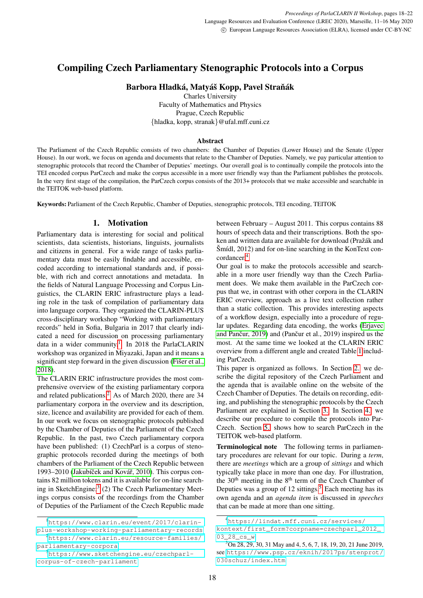# Compiling Czech Parliamentary Stenographic Protocols into a Corpus

Barbora Hladká, Matyáš Kopp, Pavel Straňák

Charles University Faculty of Mathematics and Physics Prague, Czech Republic {hladka, kopp, stranak}@ufal.mff.cuni.cz

### Abstract

The Parliament of the Czech Republic consists of two chambers: the Chamber of Deputies (Lower House) and the Senate (Upper House). In our work, we focus on agenda and documents that relate to the Chamber of Deputies. Namely, we pay particular attention to stenographic protocols that record the Chamber of Deputies' meetings. Our overall goal is to continually compile the protocols into the TEI encoded corpus ParCzech and make the corpus accessible in a more user friendly way than the Parliament publishes the protocols. In the very first stage of the compilation, the ParCzech corpus consists of the 2013+ protocols that we make accessible and searchable in the TEITOK web-based platform.

Keywords: Parliament of the Czech Republic, Chamber of Deputies, stenographic protocols, TEI encoding, TEITOK

# 1. Motivation

Parliamentary data is interesting for social and political scientists, data scientists, historians, linguists, journalists and citizens in general. For a wide range of tasks parliamentary data must be easily findable and accessible, encoded according to international standards and, if possible, with rich and correct annotations and metadata. In the fields of Natural Language Processing and Corpus Linguistics, the CLARIN ERIC infrastructure plays a leading role in the task of compilation of parliamentary data into language corpora. They organized the CLARIN-PLUS cross-disciplinary workshop "Working with parliamentary records" held in Sofia, Bulgaria in 2017 that clearly indicated a need for discussion on processing parliamentary data in a wider community.<sup>[1](#page-0-0)</sup> In 2018 the ParlaCLARIN workshop was organized in Miyazaki, Japan and it means a significant step forward in the given discussion [\(Fiser et al.,](#page-4-0) [2018\)](#page-4-0).

The CLARIN ERIC infrastructure provides the most comprehensive overview of the existing parliamentary corpora and related publications.<sup>[2](#page-0-1)</sup> As of March 2020, there are 34 parliamentary corpora in the overview and its description, size, licence and availability are provided for each of them. In our work we focus on stenographic protocols published by the Chamber of Deputies of the Parliament of the Czech Republic. In the past, two Czech parliamentary corpora have been published: (1) CzechParl is a corpus of stenographic protocols recorded during the meetings of both chambers of the Parliament of the Czech Republic between 1993–2010 (Jakubíček and Kovář, 2010). This corpus contains 82 million tokens and it is available for on-line search-ing in SketchEngine;<sup>[3](#page-0-2)</sup> (2) The Czech Parliamentary Meetings corpus consists of the recordings from the Chamber of Deputies of the Parliament of the Czech Republic made

<span id="page-0-1"></span>[parliamentary-corpora](https://www.clarin.eu/resource-families/parliamentary-corpora)

between February – August 2011. This corpus contains 88 hours of speech data and their transcriptions. Both the spoken and written data are available for download (Pražák and  $\text{Sm\'idl}, 2012$  and for on-line searching in the KonText concordancer.[4](#page-0-3)

Our goal is to make the protocols accessible and searchable in a more user friendly way than the Czech Parliament does. We make them available in the ParCzech corpus that we, in contrast with other corpora in the CLARIN ERIC overview, approach as a live text collection rather than a static collection. This provides interesting aspects of a workflow design, especially into a procedure of regular updates. Regarding data encoding, the works [\(Erjavec](#page-4-2) and Pančur,  $2019$ ) and (Pančur et al.,  $2019$ ) inspired us the most. At the same time we looked at the CLARIN ERIC overview from a different angle and created Table [1](#page-1-0) including ParCzech.

This paper is organized as follows. In Section [2.](#page-2-0) we describe the digital repository of the Czech Parliament and the agenda that is available online on the website of the Czech Chamber of Deputies. The details on recording, editing, and publishing the stenographic protocols by the Czech Parliament are explained in Section [3.](#page-2-1) In Section [4.](#page-3-0) we describe our procedure to compile the protocols into Par-Czech. Section [5.](#page-3-1) shows how to search ParCzech in the TEITOK web-based platform.

Terminological note The following terms in parliamentary procedures are relevant for our topic. During a *term*, there are *meetings* which are a group of *sittings* and which typically take place in more than one day. For illustration, the  $30<sup>th</sup>$  meeting in the  $8<sup>th</sup>$  term of the Czech Chamber of Deputies was a group of 12 sittings.<sup>[5](#page-0-4)</sup> Each meeting has its own agenda and an *agenda item* is discussed in *speeches* that can be made at more than one sitting.

<span id="page-0-0"></span><sup>1</sup>[https://www.clarin.eu/event/2017/clarin](https://www.clarin.eu/event/2017/clarin-plus-workshop-working-parliamentary-records)[plus-workshop-working-parliamentary-records](https://www.clarin.eu/event/2017/clarin-plus-workshop-working-parliamentary-records) <sup>2</sup>[https://www.clarin.eu/resource-families/](https://www.clarin.eu/resource-families/parliamentary-corpora)

<span id="page-0-2"></span><sup>3</sup>[https://www.sketchengine.eu/czechparl](https://www.sketchengine.eu/czechparl-corpus-of-czech-parliament)[corpus-of-czech-parliament](https://www.sketchengine.eu/czechparl-corpus-of-czech-parliament)

<span id="page-0-3"></span><sup>4</sup>[https://lindat.mff.cuni.cz/services/](https://lindat.mff.cuni.cz/services/kontext/first_form?corpname=czechparl_2012_03_28_cs_w) [kontext/first\\_form?corpname=czechparl\\_2012\\_](https://lindat.mff.cuni.cz/services/kontext/first_form?corpname=czechparl_2012_03_28_cs_w) [03\\_28\\_cs\\_w](https://lindat.mff.cuni.cz/services/kontext/first_form?corpname=czechparl_2012_03_28_cs_w)

<span id="page-0-4"></span><sup>5</sup>On 28, 29, 30, 31 May and 4, 5, 6, 7, 18, 19, 20, 21 June 2019, see [https://www.psp.cz/eknih/2017ps/stenprot/](https://www.psp.cz/eknih/2017ps/stenprot/030schuz/index.htm) [030schuz/index.htm](https://www.psp.cz/eknih/2017ps/stenprot/030schuz/index.htm)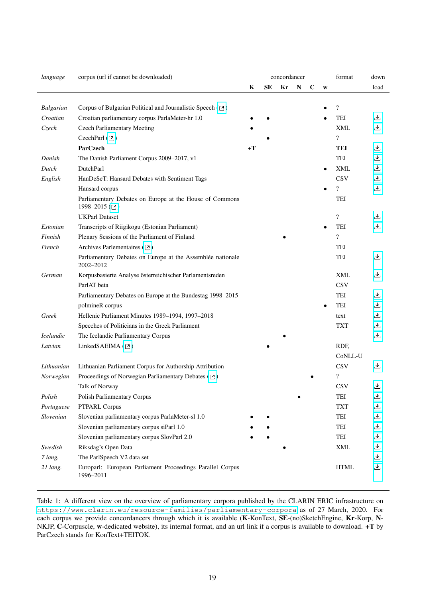| language         | corpus (url if cannot be downloaded)                                       | concordancer |    |    |   |             | format    | down                     |                   |
|------------------|----------------------------------------------------------------------------|--------------|----|----|---|-------------|-----------|--------------------------|-------------------|
|                  |                                                                            | K            | SЕ | Kr | N | $\mathbf C$ | W         |                          | load              |
|                  |                                                                            |              |    |    |   |             |           |                          |                   |
| <b>Bulgarian</b> | Corpus of Bulgarian Political and Journalistic Speech ([2])                |              |    |    |   |             |           | $\overline{\cdot}$       |                   |
| Croatian         | Croatian parliamentary corpus ParlaMeter-hr 1.0                            |              |    |    |   |             |           | TEI                      | ٹ                 |
| Czech            | <b>Czech Parliamentary Meeting</b>                                         |              |    |    |   |             |           | XML                      | 也                 |
|                  | CzechParl $(2)$                                                            |              |    |    |   |             |           | $\overline{\mathcal{C}}$ |                   |
|                  | <b>ParCzech</b>                                                            | $+T$         |    |    |   |             |           | <b>TEI</b>               | 也                 |
| Danish           | The Danish Parliament Corpus 2009-2017, v1                                 |              |    |    |   |             |           | TEI                      | 也                 |
| Dutch            | DutchParl                                                                  |              |    |    |   |             |           | XML                      | 也                 |
| English          | HanDeSeT: Hansard Debates with Sentiment Tags                              |              |    |    |   |             |           | <b>CSV</b>               | 也                 |
|                  | Hansard corpus                                                             |              |    |    |   |             |           | $\overline{\mathcal{E}}$ | 也                 |
|                  | Parliamentary Debates on Europe at the House of Commons<br>1998-2015 ([2]) |              |    |    |   |             |           | TEI                      |                   |
|                  | <b>UKParl Dataset</b>                                                      |              |    |    |   |             |           | $\overline{\mathcal{L}}$ | 也                 |
| Estonian         | Transcripts of Riigikogu (Estonian Parliament)                             |              |    |    |   |             |           | TEI                      | 也                 |
| Finnish          | Plenary Sessions of the Parliament of Finland                              |              |    |    |   |             |           | $\overline{\cdot}$       |                   |
| French           | Archives Parlementaires ([2])                                              |              |    |    |   |             |           | TEI                      |                   |
|                  | Parliamentary Debates on Europe at the Assemblée nationale<br>2002-2012    |              |    |    |   |             |           | TEI                      | 圡                 |
| German           | Korpusbasierte Analyse österreichischer Parlamentsreden                    |              |    |    |   |             |           | <b>XML</b>               | 也                 |
|                  | ParlAT beta                                                                |              |    |    |   |             |           | <b>CSV</b>               |                   |
|                  | Parliamentary Debates on Europe at the Bundestag 1998–2015                 |              |    |    |   |             |           | TEI                      | 也                 |
|                  | polmineR corpus                                                            |              |    |    |   |             | $\bullet$ | TEI                      | 也                 |
| Greek            | Hellenic Parliament Minutes 1989-1994, 1997-2018                           |              |    |    |   |             |           | text                     | 也                 |
|                  | Speeches of Politicians in the Greek Parliament                            |              |    |    |   |             |           | <b>TXT</b>               | 也                 |
| Icelandic        | The Icelandic Parliamentary Corpus                                         |              |    |    |   |             |           |                          | 也                 |
| Latvian          | LinkedSAEIMA ([2])                                                         |              |    |    |   |             |           | RDF,                     |                   |
|                  |                                                                            |              |    |    |   |             |           | CoNLL-U                  |                   |
| Lithuanian       | Lithuanian Parliament Corpus for Authorship Attribution                    |              |    |    |   |             |           | <b>CSV</b>               | ىك                |
| Norwegian        | Proceedings of Norwegian Parliamentary Debates ([2])                       |              |    |    |   |             |           | $\overline{\cdot}$       |                   |
|                  | Talk of Norway                                                             |              |    |    |   |             |           | <b>CSV</b>               | 也                 |
| Polish           | Polish Parliamentary Corpus                                                |              |    |    |   |             |           | TEI                      | 也                 |
| Portuguese       | PTPARL Corpus                                                              |              |    |    |   |             |           | <b>TXT</b>               | 也                 |
| Slovenian        | Slovenian parliamentary corpus ParlaMeter-sl 1.0                           |              |    |    |   |             |           | TEI                      | 也                 |
|                  | Slovenian parliamentary corpus siParl 1.0                                  |              |    |    |   |             |           | TEI                      | 也                 |
|                  | Slovenian parliamentary corpus SlovParl 2.0                                |              |    |    |   |             |           | TEI                      | 也                 |
| Swedish          | Riksdag's Open Data                                                        |              |    |    |   |             |           | XML                      | 也                 |
| 7 lang.          | The ParlSpeech V2 data set                                                 |              |    |    |   |             |           |                          | 也                 |
| 21 lang.         | Europarl: European Parliament Proceedings Parallel Corpus<br>1996-2011     |              |    |    |   |             |           | <b>HTML</b>              | $\overline{\tau}$ |

<span id="page-1-0"></span>Table 1: A different view on the overview of parliamentary corpora published by the CLARIN ERIC infrastructure on <https://www.clarin.eu/resource-families/parliamentary-corpora> as of 27 March, 2020. For each corpus we provide concordancers through which it is available (K-KonText, SE-(no)SketchEngine, Kr-Korp, N-NKJP, C-Corpuscle, w-dedicated website), its internal format, and an url link if a corpus is available to download. +T by ParCzech stands for KonText+TEITOK.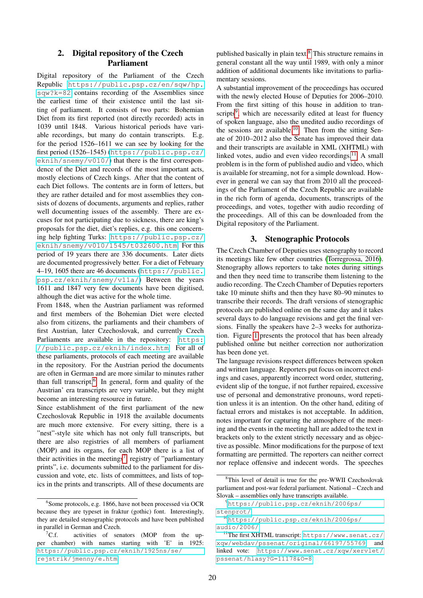# <span id="page-2-0"></span>2. Digital repository of the Czech Parliament

Digital repository of the Parliament of the Czech Republic [https://public.psp.cz/en/sqw/hp.](https://public.psp.cz/en/sqw/hp.sqw?k=82) [sqw?k=82](https://public.psp.cz/en/sqw/hp.sqw?k=82) contains recording of the Assemblies since the earliest time of their existence until the last sitting of parliament. It consists of two parts: Bohemian Diet from its first reported (not directly recorded) acts in 1039 until 1848. Various historical periods have variable recordings, but many do contain transcripts. E.g. for the period 1526–1611 we can see by looking for the first period (1526–1545) ([https://public.psp.cz/](https://public.psp.cz/eknih/snemy/v010/)  $eknih/snemy/v010/$ ) that there is the first correspondence of the Diet and records of the most important acts, mostly elections of Czech kings. After that the content of each Diet follows. The contents are in form of letters, but they are rather detailed and for most assemblies they consists of dozens of documents, arguments and replies, rather well documenting issues of the assembly. There are excuses for not participating due to sickness, there are king's proposals for the diet, diet's replies, e.g. this one concerning help fighting Turks: [https://public.psp.cz/](https://public.psp.cz/eknih/snemy/v010/1545/t032600.htm) [eknih/snemy/v010/1545/t032600.htm](https://public.psp.cz/eknih/snemy/v010/1545/t032600.htm). For this period of 19 years there are 336 documents. Later diets are documented progressively better. For a diet of February 4–19, 1605 there are 46 documents ([https://public.](https://public.psp.cz/eknih/snemy/v11a/) [psp.cz/eknih/snemy/v11a/](https://public.psp.cz/eknih/snemy/v11a/)) Between the years 1611 and 1847 very few documents have been digitised, although the diet was active for the whole time.

From 1848, when the Austrian parliament was reformed and first members of the Bohemian Diet were elected also from citizens, the parliaments and their chambers of first Austrian, later Czechoslovak, and currently Czech Parliaments are available in the repository: [https:](https://public.psp.cz/eknih/index.htm) [//public.psp.cz/eknih/index.htm](https://public.psp.cz/eknih/index.htm). For all of these parliaments, protocols of each meeting are available in the repository. For the Austrian period the documents are often in German and are more similar to minutes rather than full transcript.<sup>[6](#page-2-2)</sup> In general, form and quality of the Austrian' era transcripts are very variable, but they might become an interesting resource in future.

Since establishment of the first parliament of the new Czechoslovak Republic in 1918 the available documents are much more extensive. For every sitting, there is a "nest"-style site which has not only full transcripts, but there are also registries of all members of parliament (MOP) and its organs, for each MOP there is a list of their activities in the meetings<sup>[7](#page-2-3)</sup>, registry of "parliamentary prints", i.e. documents submitted to the parliament for discussion and vote, etc. lists of committees, and lists of topics in the prints and transcripts. All of these documents are

published basically in plain text.[8](#page-2-4) This structure remains in general constant all the way until 1989, with only a minor addition of additional documents like invitations to parliamentary sessions.

A substantial improvement of the proceedings has occured with the newly elected House of Deputies for 2006–2010. From the first sitting of this house in addition to tran-scripts<sup>[9](#page-2-5)</sup>, which are necessarily edited at least for fluency of spoken language, also the unedited audio recordings of the sessions are available.<sup>[10](#page-2-6)</sup> Then from the sitting Senate of 2010–2012 also the Senate has improved their data and their transcripts are available in XML (XHTML) with linked votes, audio and even video recordings. $^{11}$  $^{11}$  $^{11}$  A small problem is in the form of published audio and video, which is available for streaming, not for a simple download. However in general we can say that from 2010 all the proceedings of the Parliament of the Czech Republic are available in the rich form of agenda, documents, transcripts of the proceedings, and votes, together with audio recording of the proceedings. All of this can be downloaded from the Digital repository of the Parliament.

#### 3. Stenographic Protocols

<span id="page-2-1"></span>The Czech Chamber of Deputies uses stenography to record its meetings like few other countries [\(Torregrossa, 2016\)](#page-4-3). Stenography allows reporters to take notes during sittings and then they need time to transcribe them listening to the audio recording. The Czech Chamber of Deputies reporters take 10 minute shifts and then they have 80–90 minutes to transcribe their records. The draft versions of stenographic protocols are published online on the same day and it takes several days to do language revisions and get the final versions. Finally the speakers have 2–3 weeks for authorization. Figure [1](#page-3-2) presents the protocol that has been already published online but neither correction nor authorization has been done yet.

The language revisions respect differences between spoken and written language. Reporters put focus on incorrect endings and cases, apparently incorrect word order, stuttering, evident slip of the tongue, if not further repaired, excessive use of personal and demonstrative pronouns, word repetition unless it is an intention. On the other hand, editing of factual errors and mistakes is not acceptable. In addition, notes important for capturing the atmosphere of the meeting and the events in the meeting hall are added to the text in brackets only to the extent strictly necessary and as objective as possible. Minor modifications for the purpose of text formatting are permitted. The reporters can neither correct nor replace offensive and indecent words. The speeches

<span id="page-2-2"></span><sup>6</sup> Some protocols, e.g. 1866, have not been processed via OCR because they are typeset in fraktur (gothic) font. Interestingly, they are detailed stenographic protocols and have been published in parallel in German and Czech.

<span id="page-2-3"></span> ${}^{7}C.f.$  activities of senators (MOP from the upper chamber) with names starting with 'E' in 1925: [https://public.psp.cz/eknih/1925ns/se/](https://public.psp.cz/eknih/1925ns/se/rejstrik/jmenny/e.htm) [rejstrik/jmenny/e.htm](https://public.psp.cz/eknih/1925ns/se/rejstrik/jmenny/e.htm)

<span id="page-2-4"></span><sup>8</sup>This level of detail is true for the pre-WWII Czechoslovak parliament and post-war federal parliament. National – Czech and Slovak – assemblies only have transcripts available.

<span id="page-2-5"></span><sup>9</sup>[https://public.psp.cz/eknih/2006ps/](https://public.psp.cz/eknih/2006ps/stenprot/) [stenprot/](https://public.psp.cz/eknih/2006ps/stenprot/)

<span id="page-2-6"></span><sup>10</sup>[https://public.psp.cz/eknih/2006ps/](https://public.psp.cz/eknih/2006ps/audio/2006/) [audio/2006/](https://public.psp.cz/eknih/2006ps/audio/2006/)

<span id="page-2-7"></span><sup>11</sup>The first XHTML transcript: [https://www.senat.cz/](https://www.senat.cz/xqw/webdav/pssenat/original/66197/55769) [xqw/webdav/pssenat/original/66197/55769](https://www.senat.cz/xqw/webdav/pssenat/original/66197/55769) and linked vote: [https://www.senat.cz/xqw/xervlet/](https://www.senat.cz/xqw/xervlet/pssenat/hlasy?G=11178&O=8) [pssenat/hlasy?G=11178&O=8](https://www.senat.cz/xqw/xervlet/pssenat/hlasy?G=11178&O=8)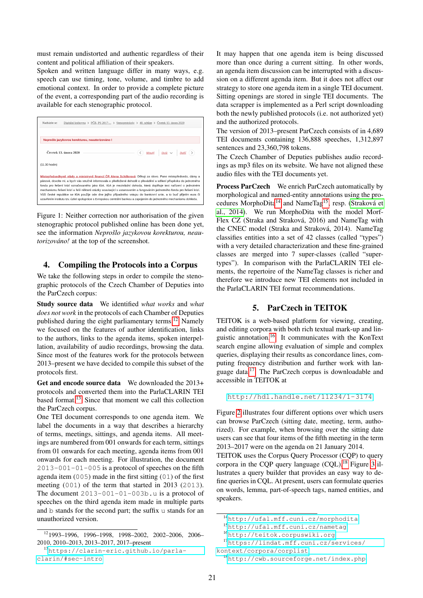must remain undistorted and authentic regardless of their content and political affiliation of their speakers.

Spoken and written language differ in many ways, e.g. speech can use timing, tone, volume, and timbre to add emotional context. In order to provide a complete picture of the event, a corresponding part of the audio recording is available for each stenographic protocol.



<span id="page-3-2"></span>Figure 1: Neither correction nor authorisation of the given stenographic protocol published online has been done yet, see the information *Neprošlo jazykovou korekturou, neautorizováno!* at the top of the screenshot.

#### <span id="page-3-0"></span>4. Compiling the Protocols into a Corpus

We take the following steps in order to compile the stenographic protocols of the Czech Chamber of Deputies into the ParCzech corpus:

Study source data We identified *what works* and *what does not work* in the protocols of each Chamber of Deputies published during the eight parliamentary terms.[12](#page-3-3) Namely we focused on the features of author identification, links to the authors, links to the agenda items, spoken interpellation, availability of audio recordings, browsing the data. Since most of the features work for the protocols between 2013–present we have decided to compile this subset of the protocols first.

Get and encode source data We downloaded the 2013+ protocols and converted them into the ParlaCLARIN TEI based format.[13](#page-3-4) Since that moment we call this collection the ParCzech corpus.

One TEI document corresponds to one agenda item. We label the documents in a way that describes a hierarchy of terms, meetings, sittings, and agenda items. All meetings are numbered from 001 onwards for each term, sittings from 01 onwards for each meeting, agenda items from 001 onwards for each meeting. For illustration, the document  $2013-001-01-005$  is a protocol of speeches on the fifth agenda item (005) made in the first sitting (01) of the first meeting (001) of the term that started in 2013 (2013). The document  $2013-001-01-003b$ .u is a protocol of speeches on the third agenda item made in multiple parts and b stands for the second part; the suffix u stands for an unauthorized version.

It may happen that one agenda item is being discussed more than once during a current sitting. In other words, an agenda item discussion can be interrupted with a discussion on a different agenda item. But it does not affect our strategy to store one agenda item in a single TEI document. Sitting openings are stored in single TEI documents. The data scrapper is implemented as a Perl script downloading both the newly published protocols (i.e. not authorized yet) and the authorized protocols.

The version of 2013–present ParCzech consists of in 4,689 TEI documents containing 136,888 speeches, 1,312,897 sentences and 23,360,798 tokens.

The Czech Chamber of Deputies publishes audio recordings as mp3 files on its website. We have not aligned these audio files with the TEI documents yet.

Process ParCzech We enrich ParCzech automatically by morphological and named-entity annotations using the pro-cedures MorphoDita<sup>[14](#page-3-5)</sup> and NameTag<sup>[15](#page-3-6)</sup>, resp. (Straková et [al., 2014\)](#page-4-4). We run MorphoDita with the model Morf-Flex CZ (Straka and Straková, 2016) and NameTag with the CNEC model (Straka and Straková, 2014). NameTag classifies entities into a set of 42 classes (called "types") with a very detailed characterization and these fine-grained classes are merged into 7 super-classes (called "supertypes"). In comparison with the ParlaCLARIN TEI elements, the repertoire of the NameTag classes is richer and therefore we introduce new TEI elements not included in the ParlaCLARIN TEI format recommendations.

# 5. ParCzech in TEITOK

<span id="page-3-1"></span>TEITOK is a web-based platform for viewing, creating, and editing corpora with both rich textual mark-up and linguistic annotation.[16](#page-3-7) It communicates with the KonText search engine allowing evaluation of simple and complex queries, displaying their results as concordance lines, computing frequency distribution and further work with language data.[17](#page-3-8) The ParCzech corpus is downloadable and accessible in TEITOK at

```
http://hdl.handle.net/11234/1-3174
```
Figure [2](#page-4-5) illustrates four different options over which users can browse ParCzech (sitting date, meeting, term, authorized). For example, when browsing over the sitting date users can see that four items of the fifth meeting in the term 2013–2017 were on the agenda on 21 January 2014.

TEITOK uses the Corpus Query Processor (CQP) to query corpora in the COP query language  $(COL)$ .<sup>[18](#page-3-9)</sup> Figure [3](#page-4-6) illustrates a query builder that provides an easy way to define queries in CQL. At present, users can formulate queries on words, lemma, part-of-speech tags, named entities, and speakers.

<span id="page-3-3"></span><sup>12</sup>1993–1996, 1996–1998, 1998–2002, 2002–2006, 2006– 2010, 2010–2013, 2013–2017, 2017–present

<span id="page-3-4"></span><sup>13</sup>[https://clarin-eric.github.io/parla](https://clarin-eric.github.io/parla-clarin/#sec-intro)[clarin/#sec-intro](https://clarin-eric.github.io/parla-clarin/#sec-intro)

<span id="page-3-5"></span><sup>14</sup><http://ufal.mff.cuni.cz/morphodita>

<span id="page-3-6"></span><sup>15</sup><http://ufal.mff.cuni.cz/nametag>

<span id="page-3-8"></span><span id="page-3-7"></span><sup>16</sup><http://teitok.corpuswiki.org>

<sup>17</sup>[https://lindat.mff.cuni.cz/services/](https://lindat.mff.cuni.cz/services/kontext/corpora/corplist) [kontext/corpora/corplist](https://lindat.mff.cuni.cz/services/kontext/corpora/corplist)

<span id="page-3-9"></span><sup>18</sup><http://cwb.sourceforge.net/index.php>